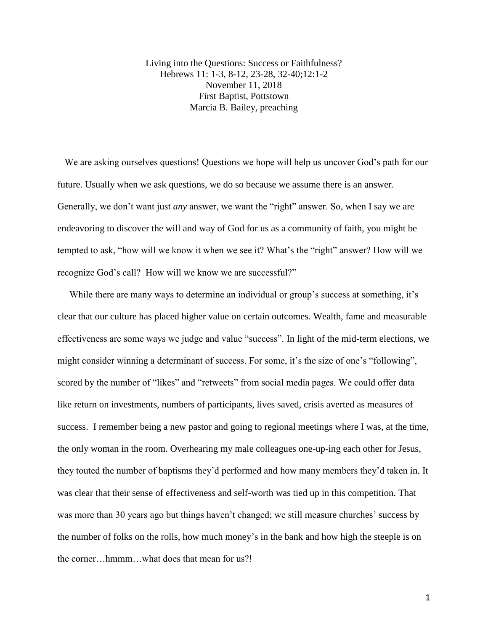Living into the Questions: Success or Faithfulness? Hebrews 11: 1-3, 8-12, 23-28, 32-40;12:1-2 November 11, 2018 First Baptist, Pottstown Marcia B. Bailey, preaching

We are asking ourselves questions! Questions we hope will help us uncover God's path for our future. Usually when we ask questions, we do so because we assume there is an answer. Generally, we don't want just *any* answer, we want the "right" answer. So, when I say we are endeavoring to discover the will and way of God for us as a community of faith, you might be tempted to ask, "how will we know it when we see it? What's the "right" answer? How will we recognize God's call? How will we know we are successful?"

While there are many ways to determine an individual or group's success at something, it's clear that our culture has placed higher value on certain outcomes. Wealth, fame and measurable effectiveness are some ways we judge and value "success". In light of the mid-term elections, we might consider winning a determinant of success. For some, it's the size of one's "following", scored by the number of "likes" and "retweets" from social media pages. We could offer data like return on investments, numbers of participants, lives saved, crisis averted as measures of success. I remember being a new pastor and going to regional meetings where I was, at the time, the only woman in the room. Overhearing my male colleagues one-up-ing each other for Jesus, they touted the number of baptisms they'd performed and how many members they'd taken in. It was clear that their sense of effectiveness and self-worth was tied up in this competition. That was more than 30 years ago but things haven't changed; we still measure churches' success by the number of folks on the rolls, how much money's in the bank and how high the steeple is on the corner hmmm what does that mean for us?!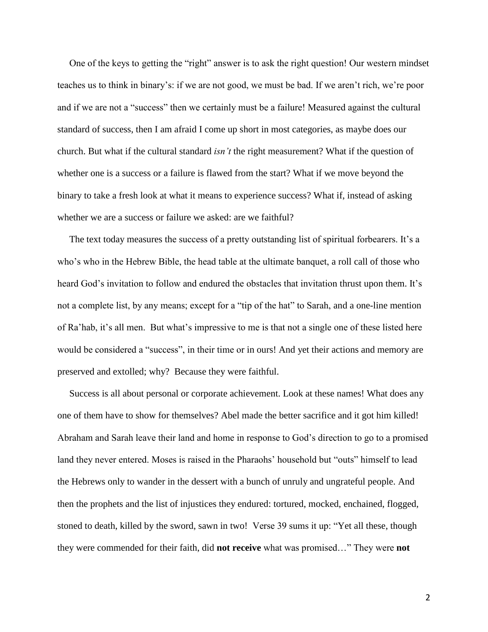One of the keys to getting the "right" answer is to ask the right question! Our western mindset teaches us to think in binary's: if we are not good, we must be bad. If we aren't rich, we're poor and if we are not a "success" then we certainly must be a failure! Measured against the cultural standard of success, then I am afraid I come up short in most categories, as maybe does our church. But what if the cultural standard *isn't* the right measurement? What if the question of whether one is a success or a failure is flawed from the start? What if we move beyond the binary to take a fresh look at what it means to experience success? What if, instead of asking whether we are a success or failure we asked: are we faithful?

 The text today measures the success of a pretty outstanding list of spiritual forbearers. It's a who's who in the Hebrew Bible, the head table at the ultimate banquet, a roll call of those who heard God's invitation to follow and endured the obstacles that invitation thrust upon them. It's not a complete list, by any means; except for a "tip of the hat" to Sarah, and a one-line mention of Ra'hab, it's all men. But what's impressive to me is that not a single one of these listed here would be considered a "success", in their time or in ours! And yet their actions and memory are preserved and extolled; why? Because they were faithful.

 Success is all about personal or corporate achievement. Look at these names! What does any one of them have to show for themselves? Abel made the better sacrifice and it got him killed! Abraham and Sarah leave their land and home in response to God's direction to go to a promised land they never entered. Moses is raised in the Pharaohs' household but "outs" himself to lead the Hebrews only to wander in the dessert with a bunch of unruly and ungrateful people. And then the prophets and the list of injustices they endured: tortured, mocked, enchained, flogged, stoned to death, killed by the sword, sawn in two! Verse 39 sums it up: "Yet all these, though they were commended for their faith, did **not receive** what was promised…" They were **not**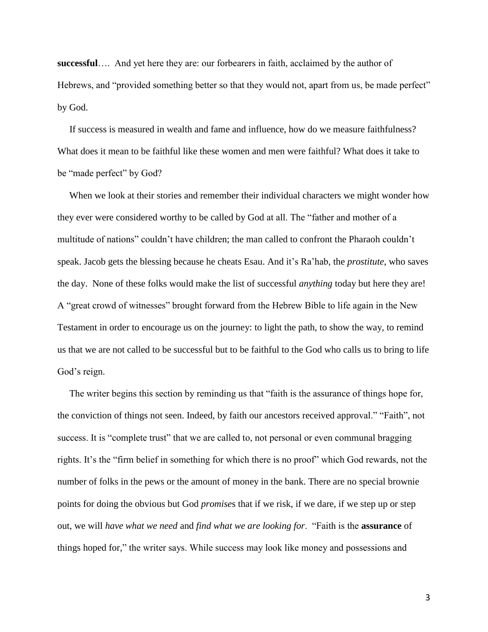**successful**…. And yet here they are: our forbearers in faith, acclaimed by the author of Hebrews, and "provided something better so that they would not, apart from us, be made perfect" by God.

 If success is measured in wealth and fame and influence, how do we measure faithfulness? What does it mean to be faithful like these women and men were faithful? What does it take to be "made perfect" by God?

 When we look at their stories and remember their individual characters we might wonder how they ever were considered worthy to be called by God at all. The "father and mother of a multitude of nations" couldn't have children; the man called to confront the Pharaoh couldn't speak. Jacob gets the blessing because he cheats Esau. And it's Ra'hab, the *prostitute*, who saves the day. None of these folks would make the list of successful *anything* today but here they are! A "great crowd of witnesses" brought forward from the Hebrew Bible to life again in the New Testament in order to encourage us on the journey: to light the path, to show the way, to remind us that we are not called to be successful but to be faithful to the God who calls us to bring to life God's reign.

 The writer begins this section by reminding us that "faith is the assurance of things hope for, the conviction of things not seen. Indeed, by faith our ancestors received approval." "Faith", not success. It is "complete trust" that we are called to, not personal or even communal bragging rights. It's the "firm belief in something for which there is no proof" which God rewards, not the number of folks in the pews or the amount of money in the bank. There are no special brownie points for doing the obvious but God *promise*s that if we risk, if we dare, if we step up or step out, we will *have what we need* and *find what we are looking for*. "Faith is the **assurance** of things hoped for," the writer says. While success may look like money and possessions and

3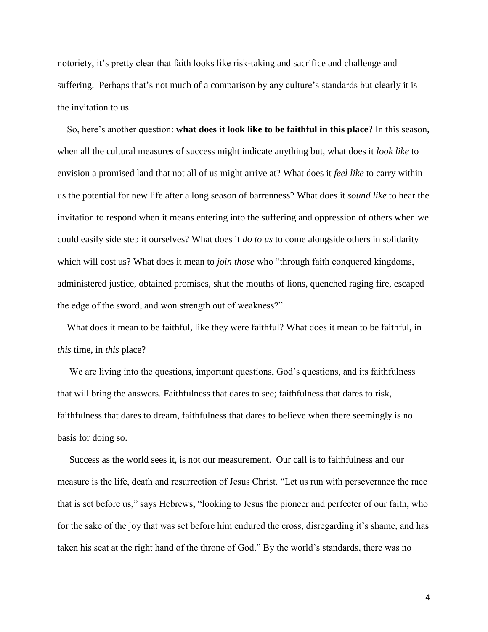notoriety, it's pretty clear that faith looks like risk-taking and sacrifice and challenge and suffering. Perhaps that's not much of a comparison by any culture's standards but clearly it is the invitation to us.

 So, here's another question: **what does it look like to be faithful in this place**? In this season, when all the cultural measures of success might indicate anything but, what does it *look like* to envision a promised land that not all of us might arrive at? What does it *feel like* to carry within us the potential for new life after a long season of barrenness? What does it *sound like* to hear the invitation to respond when it means entering into the suffering and oppression of others when we could easily side step it ourselves? What does it *do to us* to come alongside others in solidarity which will cost us? What does it mean to *join those* who "through faith conquered kingdoms, administered justice, obtained promises, shut the mouths of lions, quenched raging fire, escaped the edge of the sword, and won strength out of weakness?"

 What does it mean to be faithful, like they were faithful? What does it mean to be faithful, in *this* time, in *this* place?

 We are living into the questions, important questions, God's questions, and its faithfulness that will bring the answers. Faithfulness that dares to see; faithfulness that dares to risk, faithfulness that dares to dream, faithfulness that dares to believe when there seemingly is no basis for doing so.

 Success as the world sees it, is not our measurement. Our call is to faithfulness and our measure is the life, death and resurrection of Jesus Christ. "Let us run with perseverance the race that is set before us," says Hebrews, "looking to Jesus the pioneer and perfecter of our faith, who for the sake of the joy that was set before him endured the cross, disregarding it's shame, and has taken his seat at the right hand of the throne of God." By the world's standards, there was no

4